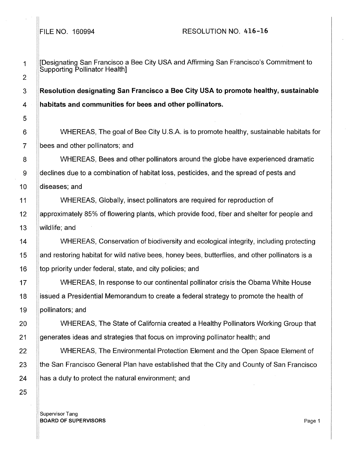1 **[Designating San Francisco a Bee City USA and Affirming San Francisco's Commitment to** Supporting Pollinator Health]

3 **Resolution designating San Francisco a Bee City USA to promote healthy, sustainable**  4 **habitats and communities for bees and other pollinators.** 

WHEREAS, The goal of Bee City U.S.A. is to promote healthy, sustainable habitats for bees and other pollinators; and

WHEREAS, Bees and other pollinators around the globe have experienced dramatic declines due to a combination of habitat loss, pesticides, and the spread of pests and diseases; and

I WHEREAS, Globally, insect pollinators are required for reproduction of approximately 85% of flowering plants, which provide food, fiber and shelter for people and wildlife; and

WHEREAS, Conservation of biodiversity and ecological integrity, including protecting I land restoring habitat for wild native bees, honey bees, butterflies, and other pollinators is a top priority under federal, state, and city policies; and

WHEREAS, In response to our continental pollinator crisis the Obama White House issued a Presidential Memorandum to create a federal strategy to promote the health of pollinators; and

WHEREAS, The State of California created a Healthy Pollinators Working Group that generates ideas and strategies that focus on improving pollinator health; and

WHEREAS, The Environmental Protection Element and the Open Space Element of the San Francisco General Plan have established that the City and County of San Francisco has a duty to protect the natural environment; and

Supervisor Tang **BOARD OF SUPERVISORS** Page 1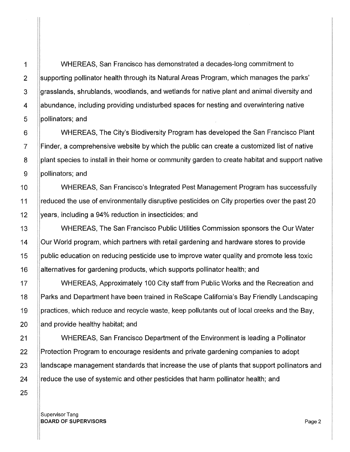1 WHEREAS, San Francisco has demonstrated a decades-long commitment to 2 Supporting pollinator health through its Natural Areas Program, which manages the parks' 3 grasslands, shrublands, woodlands, and wetlands for native plant and animal diversity and 4 **Abundance, including providing undisturbed spaces for nesting and overwintering native** 5 **pollinators**; and

6 WHEREAS, The City's Biodiversity Program has developed the San Francisco Plant 7 Finder, a comprehensive website by which the public can create a customized list of native 8 **plant species to install in their home or community garden to create habitat and support native** 9 ||pollinators; and

10 NHEREAS, San Francisco's Integrated Pest Management Program has successfully 11 reduced the use of environmentally disruptive pesticides on City properties over the past 20 12 Vears, including a 94% reduction in insecticides; and

13 WHEREAS, The San Francisco Public Utilities Commission sponsors the Our Water 14 Our World program, which partners with retail gardening and hardware stores to provide 15 Supublic education on reducing pesticide use to improve water quality and promote less toxic 16 **alternatives for gardening products, which supports pollinator health; and** 

17 WHEREAS, Approximately 100 City staff from Public Works and the Recreation and 18 Parks and Department have been trained in ReScape California's Bay Friendly Landscaping 19 Supractices, which reduce and recycle waste, keep pollutants out of local creeks and the Bay,  $20$  and provide healthy habitat; and

21 WHEREAS, San Francisco Department of the Environment is leading a Pollinator 22 Protection Program to encourage residents and private gardening companies to adopt 23 **landscape management standards that increase the use of plants that support pollinators and** 24  $\parallel$  reduce the use of systemic and other pesticides that harm pollinator health; and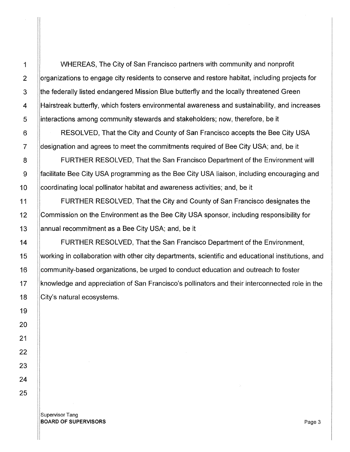WHEREAS, The City of San Francisco partners with community and nonprofit organizations to engage city residents to conserve and restore habitat, including projects for the federally listed endangered Mission Blue butterfly and the locally threatened Green IHairstreak butterfly, which fosters environmental awareness and sustainability, and increases interactions among community stewards and stakeholders; now, therefore, be it

RESOLVED, That the City and County of San Francisco accepts the Bee City USA designation and agrees to meet the commitments required of Bee City USA; and, be it

FURTHER RESOLVED, That the San Francisco Department of the Environment will facilitate Bee City USA programming as the Bee City USA liaison, including encouraging and !coordinating local pollinator habitat and awareness activities; and, be it

FURTHER RESOLVED, That the City and County of San Francisco designates the  $\overline{\phantom{a}}$ !Commission on the Environment as the Bee City USA sponsor, including responsibility for I annual recommitment as a Bee City USA; and, be it

 $\vert$ community-based organizations, be urged to conduct education and outreach to foster FURTHER RESOLVED, That the San Francisco Department of the Environment, working in collaboration with other city departments, scientific and educational institutions, and knowledge and appreciation of San Francisco's pollinators and their interconnected role in the City's natural ecosystems.

I

Supervisor Tang BOARD OF SUPERVISORS **Page 3**